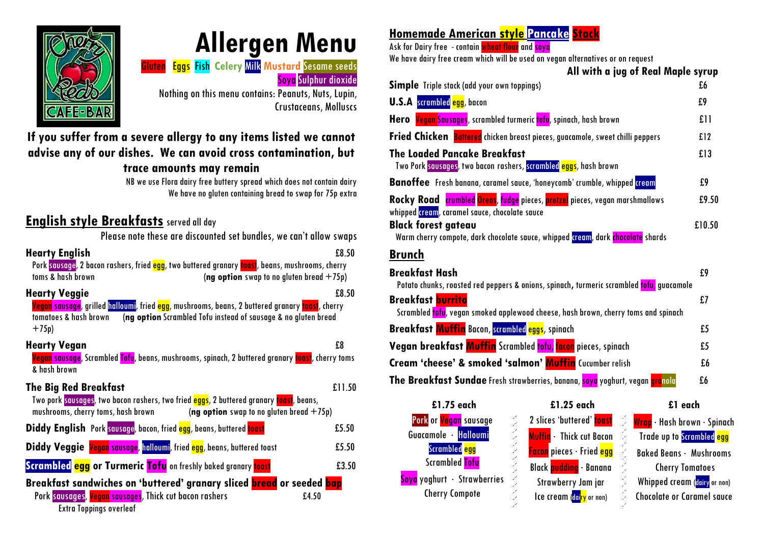

# **Allergen Menu**

Gluten Eggs Fish **Celery** Milk **Mustard** Sesame seeds Soya Sulphur dioxide

Nothing on this menu contains: Peanuts, Nuts, Lupin, Crustaceans, Molluscs

# **If you suffer from a severe allergy to any items listed we cannot advise any of our dishes. We can avoid cross contamination, but**

#### **trace amounts may remain**

NB we use Flora dairy free buttery spread which does not contain dairy We have no gluten containing bread to swap for 75p extra

## **English style Breakfasts** served all day

Please note these are discounted set bundles, we can't allow swaps

| <b>Hearty English</b><br>Pork sausage, 2 bacon rashers, fried egg, two buttered granary toast, beans, mushrooms, cherry<br>toms & hash brown                                                                                 | £8.50                                                 |
|------------------------------------------------------------------------------------------------------------------------------------------------------------------------------------------------------------------------------|-------------------------------------------------------|
| <b>Hearty Veggie</b><br>Vegan savsage, grilled hallovmi, fried egg, mushrooms, beans, 2 buttered granary toast, cherry<br>(ng option Scrambled Tofu instead of sausage & no gluten bread<br>tomatoes & hash brown<br>$+75p)$ | (ng option swap to no gluten bread $+75p$ )<br>£8.50  |
| <b>Hearty Vegan</b><br><mark>Vegan</mark> sausage, Scrambled <mark>Tofu</mark> , beans, mushrooms, spinach, 2 buttered granary <mark>toast</mark> , cherry toms<br>& hash brown                                              | £8                                                    |
| <b>The Big Red Breakfast</b><br>Two pork sausages, two bacon rashers, two fried <mark>eggs</mark> , 2 buttered granary <mark>toast</mark> , beans,<br>mushrooms, cherry toms, hash brown                                     | £11.50<br>(ng option swap to no gluten bread $+75p$ ) |
| Diddy English Pork sausage, bacon, fried egg, beans, buttered toast                                                                                                                                                          | £5.50                                                 |
| Diddy Veggie Vegan sausage, halloumi, fried egg, beans, buttered toast                                                                                                                                                       | £5.50                                                 |
| <b>Scrambled egg or Turmeric Tofu</b> on freshly baked granary toast                                                                                                                                                         | £3.50                                                 |
| Breakfast sandwiches on 'buttered' granary sliced <b>bread</b> or seeded bap<br>Pork savsages, Vegan savsages, Thick cut bacon rashers<br><b>Extra Toppings overleaf</b>                                                     | £4.50                                                 |

# **Homemade American style Pancake Stack**

Ask for Dairy free - contain wheat flour and soya

We have dairy free cream which will be used on vegan alternatives or on request

| All with a jug of Real Maple syrup                                                                                           |        |
|------------------------------------------------------------------------------------------------------------------------------|--------|
| <b>Simple</b> Triple stack (add your own toppings)                                                                           | £6     |
| <b>U.S.A</b> scrambled egg, bacon                                                                                            | £9     |
| Hero <b>Vegan Sausages</b> , scrambled turmeric tofu, spinach, hash brown                                                    | f11    |
| <b>Fried Chicken Battered</b> chicken breast pieces, gvacamole, sweet chilli peppers                                         | f12    |
| The Loaded Pancake Breakfast<br>Two Pork sausages, two bacon rashers, scrambled eggs, hash brown                             | £13    |
| <b>Banoffee</b> Fresh banana, caramel savce, 'honeycomb' crumble, whipped <mark>cream</mark>                                 | £9     |
| Rocky Road crumbled Oreos, fudge pieces, pretzel pieces, vegan marshmallows<br>whipped cream, caramel savce, chocolate savce | £9.50  |
| <b>Black forest gateav</b><br>Warm cherry compote, dark chocolate sauce, whipped cream, dark chocolate shards                | £10.50 |

### **Brunch**

Sov

| <b>Breakfast Hash</b><br>Potato chunks, roasted red peppers & onions, spinach, turmeric scrambled tofu, guacamole |     |
|-------------------------------------------------------------------------------------------------------------------|-----|
| <b>Breakfast burrito</b><br>Scrambled tofu, vegan smoked applewood cheese, hash brown, cherry toms and spinach    |     |
| <b>Breakfast Muffin</b> Bacon, scrambled eggs, spinach                                                            | £5  |
| Vegan breakfast Muffin Scrambled tofu, facon pieces, spinach                                                      | £5  |
| Cream 'cheese' & smoked 'salmon' Muffin Cucumber relish                                                           | f.6 |
| The Breakfast Sundae Fresh strawberries, banana, soya yoghurt, vegan granola                                      | £6  |

| £1.75 each                         |   | £1.25 each                                   | £1 each                                    |
|------------------------------------|---|----------------------------------------------|--------------------------------------------|
| Pork or <mark>Vegan</mark> savsage |   | 2 slices 'buttered' toast                    | <mark>≫ Wrap</mark> • Hash brown • Spinach |
| Guacamole · <mark>Halloumi</mark>  |   | Muffin · Thick cut Bacon                     | <b>Trade up to Scrambled egg</b>           |
| Scrambled <mark>egg</mark>         |   | <b>Facon</b> pieces · Fried <mark>egg</mark> | <b>Baked Beans · Mushrooms</b>             |
| <b>Scrambled</b> Tofu              |   | Black <b>pudding</b> · Banana                | <b>Cherry Tomatoes</b>                     |
| ya yoghurt · Strawberries          | L | Strawberry Jam jar                           | Whipped cream (dairy or non)               |
| <b>Cherry Compote</b>              |   | Ice cream (dai <mark>ry</mark> or non)       | <b>Chocolate or Caramel sauce</b>          |
|                                    |   |                                              |                                            |